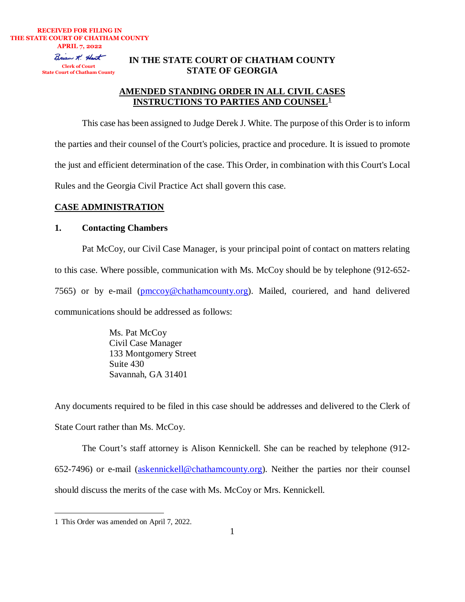**RECEIVED FOR FILING IN THE STATE COURT OF CHATHAM COUNTY APRIL 7, 2022** Brian X. Hart **Clerk of Court State Court of Chatham County**

## **IN THE STATE COURT OF CHATHAM COUNTY STATE OF GEORGIA**

# **AMENDED STANDING ORDER IN ALL CIVIL CASES INSTRUCTIONS TO PARTIES AND COUNSEL[1](#page-0-0)**

This case has been assigned to Judge Derek J. White. The purpose of this Order is to inform the parties and their counsel of the Court's policies, practice and procedure. It is issued to promote the just and efficient determination of the case. This Order, in combination with this Court's Local Rules and the Georgia Civil Practice Act shall govern this case.

## **CASE ADMINISTRATION**

## **1. Contacting Chambers**

Pat McCoy, our Civil Case Manager, is your principal point of contact on matters relating to this case. Where possible, communication with Ms. McCoy should be by telephone (912-652- 7565) or by e-mail [\(pmccoy@chathamcounty.org\)](mailto:pmccoy@chathamcounty.org). Mailed, couriered, and hand delivered communications should be addressed as follows:

> Ms. Pat McCoy Civil Case Manager 133 Montgomery Street Suite 430 Savannah, GA 31401

Any documents required to be filed in this case should be addresses and delivered to the Clerk of State Court rather than Ms. McCoy.

The Court's staff attorney is Alison Kennickell. She can be reached by telephone (912- 652-7496) or e-mail [\(askennickell@chathamcounty.org\)](mailto:askennickell@chathamcounty.org). Neither the parties nor their counsel should discuss the merits of the case with Ms. McCoy or Mrs. Kennickell.

<span id="page-0-0"></span><sup>1</sup> This Order was amended on April 7, 2022.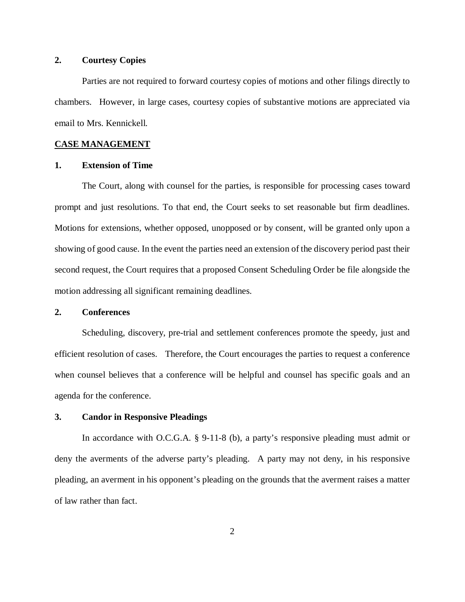## **2. Courtesy Copies**

Parties are not required to forward courtesy copies of motions and other filings directly to chambers. However, in large cases, courtesy copies of substantive motions are appreciated via email to Mrs. Kennickell.

### **CASE MANAGEMENT**

### **1. Extension of Time**

The Court, along with counsel for the parties, is responsible for processing cases toward prompt and just resolutions. To that end, the Court seeks to set reasonable but firm deadlines. Motions for extensions, whether opposed, unopposed or by consent, will be granted only upon a showing of good cause. In the event the parties need an extension of the discovery period past their second request, the Court requires that a proposed Consent Scheduling Order be file alongside the motion addressing all significant remaining deadlines.

#### **2. Conferences**

Scheduling, discovery, pre-trial and settlement conferences promote the speedy, just and efficient resolution of cases. Therefore, the Court encourages the parties to request a conference when counsel believes that a conference will be helpful and counsel has specific goals and an agenda for the conference.

## **3. Candor in Responsive Pleadings**

In accordance with O.C.G.A. § 9-11-8 (b), a party's responsive pleading must admit or deny the averments of the adverse party's pleading. A party may not deny, in his responsive pleading, an averment in his opponent's pleading on the grounds that the averment raises a matter of law rather than fact.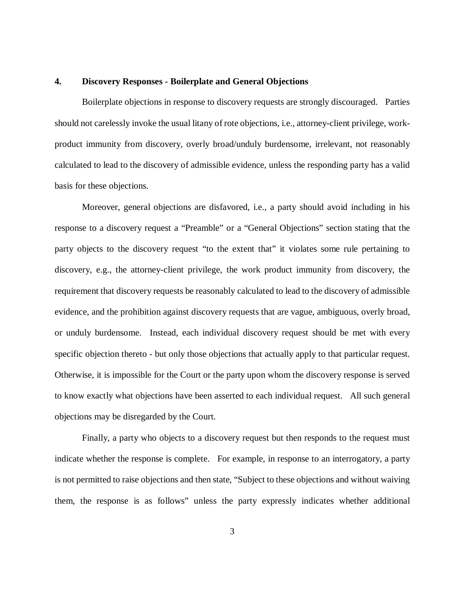#### **4. Discovery Responses - Boilerplate and General Objections**

Boilerplate objections in response to discovery requests are strongly discouraged. Parties should not carelessly invoke the usual litany of rote objections, i.e., attorney-client privilege, workproduct immunity from discovery, overly broad/unduly burdensome, irrelevant, not reasonably calculated to lead to the discovery of admissible evidence, unless the responding party has a valid basis for these objections.

Moreover, general objections are disfavored, i.e., a party should avoid including in his response to a discovery request a "Preamble" or a "General Objections" section stating that the party objects to the discovery request "to the extent that" it violates some rule pertaining to discovery, e.g., the attorney-client privilege, the work product immunity from discovery, the requirement that discovery requests be reasonably calculated to lead to the discovery of admissible evidence, and the prohibition against discovery requests that are vague, ambiguous, overly broad, or unduly burdensome. Instead, each individual discovery request should be met with every specific objection thereto - but only those objections that actually apply to that particular request. Otherwise, it is impossible for the Court or the party upon whom the discovery response is served to know exactly what objections have been asserted to each individual request. All such general objections may be disregarded by the Court.

Finally, a party who objects to a discovery request but then responds to the request must indicate whether the response is complete. For example, in response to an interrogatory, a party is not permitted to raise objections and then state, "Subject to these objections and without waiving them, the response is as follows" unless the party expressly indicates whether additional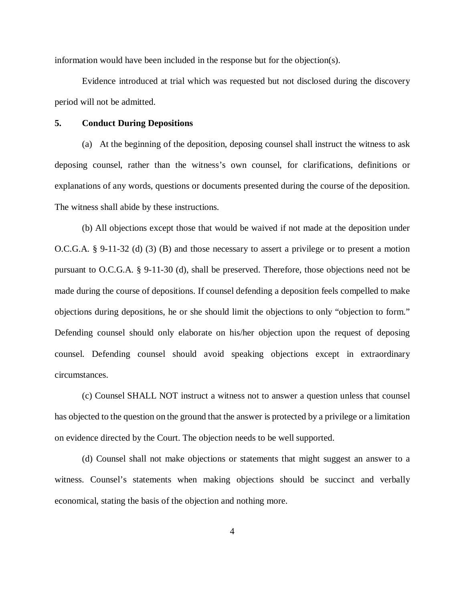information would have been included in the response but for the objection(s).

Evidence introduced at trial which was requested but not disclosed during the discovery period will not be admitted.

#### **5. Conduct During Depositions**

(a) At the beginning of the deposition, deposing counsel shall instruct the witness to ask deposing counsel, rather than the witness's own counsel, for clarifications, definitions or explanations of any words, questions or documents presented during the course of the deposition. The witness shall abide by these instructions.

(b) All objections except those that would be waived if not made at the deposition under O.C.G.A. § 9-11-32 (d) (3) (B) and those necessary to assert a privilege or to present a motion pursuant to O.C.G.A. § 9-11-30 (d), shall be preserved. Therefore, those objections need not be made during the course of depositions. If counsel defending a deposition feels compelled to make objections during depositions, he or she should limit the objections to only "objection to form." Defending counsel should only elaborate on his/her objection upon the request of deposing counsel. Defending counsel should avoid speaking objections except in extraordinary circumstances.

(c) Counsel SHALL NOT instruct a witness not to answer a question unless that counsel has objected to the question on the ground that the answer is protected by a privilege or a limitation on evidence directed by the Court. The objection needs to be well supported.

(d) Counsel shall not make objections or statements that might suggest an answer to a witness. Counsel's statements when making objections should be succinct and verbally economical, stating the basis of the objection and nothing more.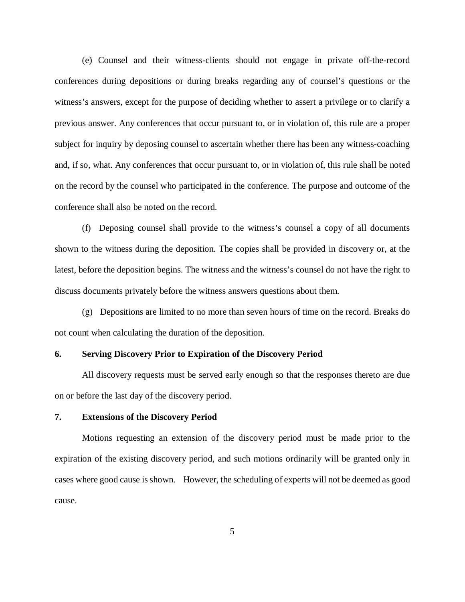(e) Counsel and their witness-clients should not engage in private off-the-record conferences during depositions or during breaks regarding any of counsel's questions or the witness's answers, except for the purpose of deciding whether to assert a privilege or to clarify a previous answer. Any conferences that occur pursuant to, or in violation of, this rule are a proper subject for inquiry by deposing counsel to ascertain whether there has been any witness-coaching and, if so, what. Any conferences that occur pursuant to, or in violation of, this rule shall be noted on the record by the counsel who participated in the conference. The purpose and outcome of the conference shall also be noted on the record.

(f) Deposing counsel shall provide to the witness's counsel a copy of all documents shown to the witness during the deposition. The copies shall be provided in discovery or, at the latest, before the deposition begins. The witness and the witness's counsel do not have the right to discuss documents privately before the witness answers questions about them.

(g) Depositions are limited to no more than seven hours of time on the record. Breaks do not count when calculating the duration of the deposition.

### **6. Serving Discovery Prior to Expiration of the Discovery Period**

All discovery requests must be served early enough so that the responses thereto are due on or before the last day of the discovery period.

## **7. Extensions of the Discovery Period**

Motions requesting an extension of the discovery period must be made prior to the expiration of the existing discovery period, and such motions ordinarily will be granted only in cases where good cause is shown. However, the scheduling of experts will not be deemed as good cause.

5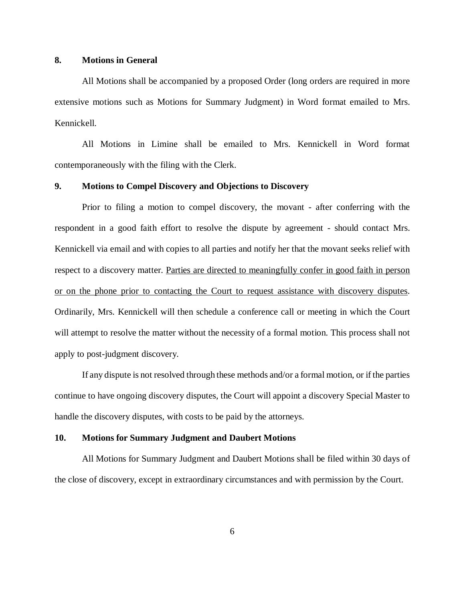## **8. Motions in General**

All Motions shall be accompanied by a proposed Order (long orders are required in more extensive motions such as Motions for Summary Judgment) in Word format emailed to Mrs. Kennickell.

All Motions in Limine shall be emailed to Mrs. Kennickell in Word format contemporaneously with the filing with the Clerk.

## **9. Motions to Compel Discovery and Objections to Discovery**

Prior to filing a motion to compel discovery, the movant - after conferring with the respondent in a good faith effort to resolve the dispute by agreement - should contact Mrs. Kennickell via email and with copies to all parties and notify her that the movant seeks relief with respect to a discovery matter. Parties are directed to meaningfully confer in good faith in person or on the phone prior to contacting the Court to request assistance with discovery disputes. Ordinarily, Mrs. Kennickell will then schedule a conference call or meeting in which the Court will attempt to resolve the matter without the necessity of a formal motion. This process shall not apply to post-judgment discovery.

If any dispute is not resolved through these methods and/or a formal motion, or if the parties continue to have ongoing discovery disputes, the Court will appoint a discovery Special Master to handle the discovery disputes, with costs to be paid by the attorneys.

### **10. Motions for Summary Judgment and Daubert Motions**

All Motions for Summary Judgment and Daubert Motions shall be filed within 30 days of the close of discovery, except in extraordinary circumstances and with permission by the Court.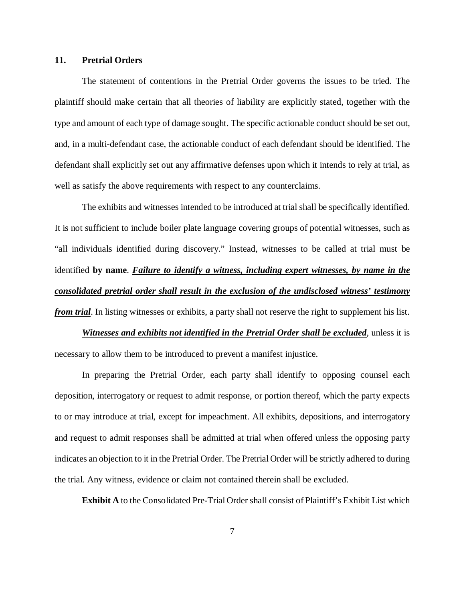### **11. Pretrial Orders**

The statement of contentions in the Pretrial Order governs the issues to be tried. The plaintiff should make certain that all theories of liability are explicitly stated, together with the type and amount of each type of damage sought. The specific actionable conduct should be set out, and, in a multi-defendant case, the actionable conduct of each defendant should be identified. The defendant shall explicitly set out any affirmative defenses upon which it intends to rely at trial, as well as satisfy the above requirements with respect to any counterclaims.

The exhibits and witnesses intended to be introduced at trial shall be specifically identified. It is not sufficient to include boiler plate language covering groups of potential witnesses, such as "all individuals identified during discovery." Instead, witnesses to be called at trial must be identified **by name**. *Failure to identify a witness, including expert witnesses, by name in the consolidated pretrial order shall result in the exclusion of the undisclosed witness' testimony from trial*. In listing witnesses or exhibits, a party shall not reserve the right to supplement his list.

*Witnesses and exhibits not identified in the Pretrial Order shall be excluded***, unless it is** necessary to allow them to be introduced to prevent a manifest injustice.

In preparing the Pretrial Order, each party shall identify to opposing counsel each deposition, interrogatory or request to admit response, or portion thereof, which the party expects to or may introduce at trial, except for impeachment. All exhibits, depositions, and interrogatory and request to admit responses shall be admitted at trial when offered unless the opposing party indicates an objection to it in the Pretrial Order. The Pretrial Order will be strictly adhered to during the trial. Any witness, evidence or claim not contained therein shall be excluded.

**Exhibit A** to the Consolidated Pre-Trial Order shall consist of Plaintiff's Exhibit List which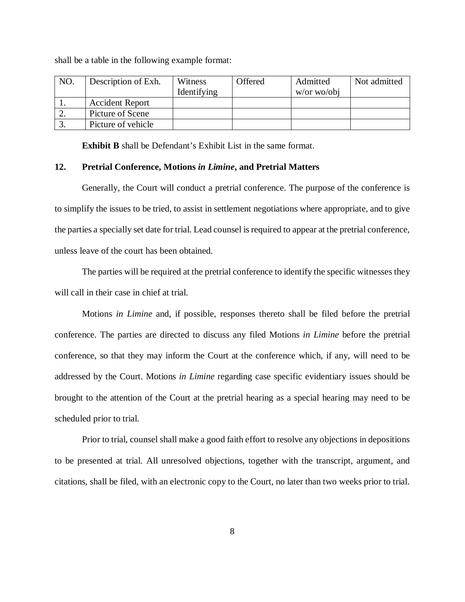| NO. | Description of Exh.    | Witness     | Offered | Admitted      | Not admitted |
|-----|------------------------|-------------|---------|---------------|--------------|
|     |                        | Identifying |         | $w/or$ wo/obj |              |
|     | <b>Accident Report</b> |             |         |               |              |
|     | Picture of Scene       |             |         |               |              |
|     | Picture of vehicle     |             |         |               |              |

shall be a table in the following example format:

**Exhibit B** shall be Defendant's Exhibit List in the same format.

#### **12. Pretrial Conference, Motions** *in Limine***, and Pretrial Matters**

Generally, the Court will conduct a pretrial conference. The purpose of the conference is to simplify the issues to be tried, to assist in settlement negotiations where appropriate, and to give the parties a specially set date for trial. Lead counsel is required to appear at the pretrial conference, unless leave of the court has been obtained.

The parties will be required at the pretrial conference to identify the specific witnesses they will call in their case in chief at trial.

Motions *in Limine* and, if possible, responses thereto shall be filed before the pretrial conference. The parties are directed to discuss any filed Motions *in Limine* before the pretrial conference, so that they may inform the Court at the conference which, if any, will need to be addressed by the Court. Motions *in Limine* regarding case specific evidentiary issues should be brought to the attention of the Court at the pretrial hearing as a special hearing may need to be scheduled prior to trial.

Prior to trial, counsel shall make a good faith effort to resolve any objections in depositions to be presented at trial. All unresolved objections, together with the transcript, argument, and citations, shall be filed, with an electronic copy to the Court, no later than two weeks prior to trial.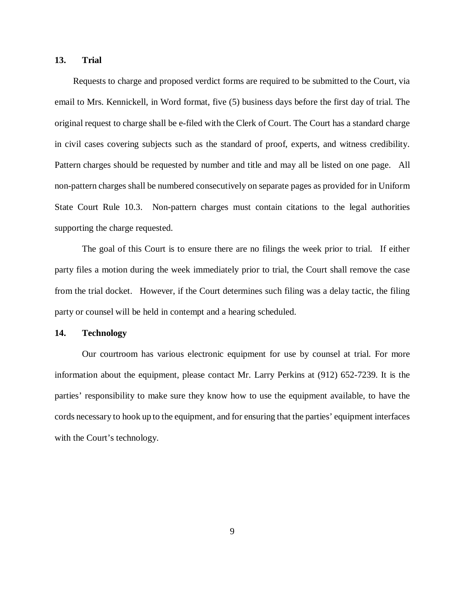### **13. Trial**

 Requests to charge and proposed verdict forms are required to be submitted to the Court, via email to Mrs. Kennickell, in Word format, five (5) business days before the first day of trial. The original request to charge shall be e-filed with the Clerk of Court. The Court has a standard charge in civil cases covering subjects such as the standard of proof, experts, and witness credibility. Pattern charges should be requested by number and title and may all be listed on one page. All non-pattern charges shall be numbered consecutively on separate pages as provided for in Uniform State Court Rule 10.3. Non-pattern charges must contain citations to the legal authorities supporting the charge requested.

The goal of this Court is to ensure there are no filings the week prior to trial. If either party files a motion during the week immediately prior to trial, the Court shall remove the case from the trial docket. However, if the Court determines such filing was a delay tactic, the filing party or counsel will be held in contempt and a hearing scheduled.

### **14. Technology**

Our courtroom has various electronic equipment for use by counsel at trial. For more information about the equipment, please contact Mr. Larry Perkins at (912) 652-7239. It is the parties' responsibility to make sure they know how to use the equipment available, to have the cords necessary to hook up to the equipment, and for ensuring that the parties' equipment interfaces with the Court's technology.